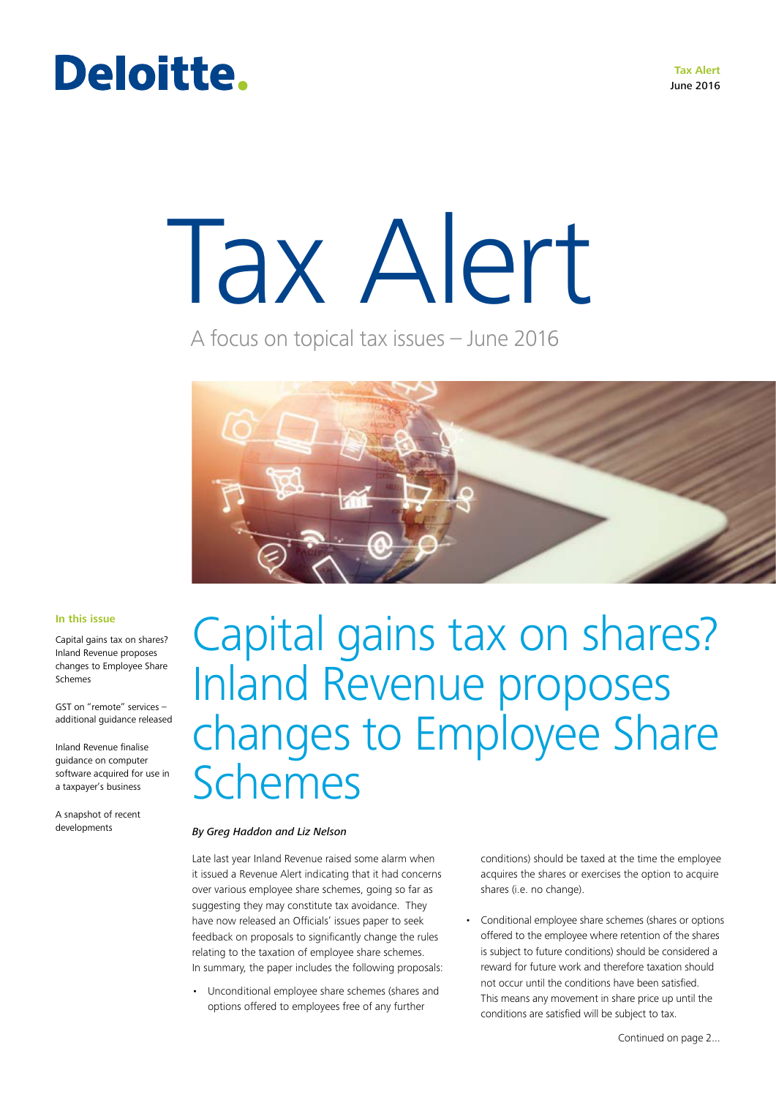### Deloitte.

# Tax Alert

A focus on topical tax issues – June 2016



### **In this issue**

Capital gains tax on shares? Inland Revenue proposes changes to Employee Share Schemes

GST on "remote" services – additional guidance released

Inland Revenue finalise guidance on computer software acquired for use in a taxpayer's business

A snapshot of recent developments

### Capital gains tax on shares? Inland Revenue proposes changes to Employee Share Schemes

### *By Greg Haddon and Liz Nelson*

Late last year Inland Revenue raised some alarm when it issued a Revenue Alert indicating that it had concerns over various employee share schemes, going so far as suggesting they may constitute tax avoidance. They have now released an Officials' issues paper to seek feedback on proposals to significantly change the rules relating to the taxation of employee share schemes. In summary, the paper includes the following proposals:

• Unconditional employee share schemes (shares and options offered to employees free of any further

conditions) should be taxed at the time the employee acquires the shares or exercises the option to acquire shares (i.e. no change).

• Conditional employee share schemes (shares or options offered to the employee where retention of the shares is subject to future conditions) should be considered a reward for future work and therefore taxation should not occur until the conditions have been satisfied. This means any movement in share price up until the conditions are satisfied will be subject to tax.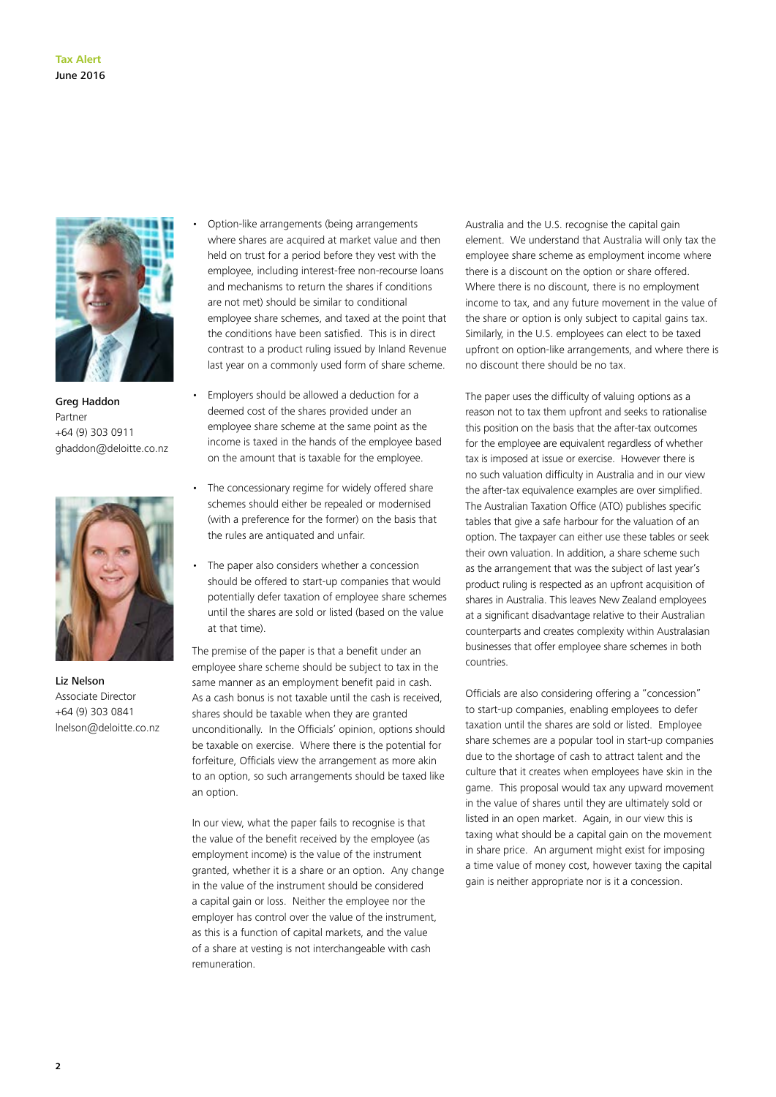

Greg Haddon Partner +64 (9) 303 0911 ghaddon@deloitte.co.nz



Liz Nelson Associate Director +64 (9) 303 0841 lnelson@deloitte.co.nz

• Option-like arrangements (being arrangements where shares are acquired at market value and then held on trust for a period before they vest with the employee, including interest-free non-recourse loans and mechanisms to return the shares if conditions are not met) should be similar to conditional employee share schemes, and taxed at the point that the conditions have been satisfied. This is in direct contrast to a product ruling issued by Inland Revenue last year on a commonly used form of share scheme.

- Employers should be allowed a deduction for a deemed cost of the shares provided under an employee share scheme at the same point as the income is taxed in the hands of the employee based on the amount that is taxable for the employee.
- The concessionary regime for widely offered share schemes should either be repealed or modernised (with a preference for the former) on the basis that the rules are antiquated and unfair.
- The paper also considers whether a concession should be offered to start-up companies that would potentially defer taxation of employee share schemes until the shares are sold or listed (based on the value at that time).

The premise of the paper is that a benefit under an employee share scheme should be subject to tax in the same manner as an employment benefit paid in cash. As a cash bonus is not taxable until the cash is received, shares should be taxable when they are granted unconditionally. In the Officials' opinion, options should be taxable on exercise. Where there is the potential for forfeiture, Officials view the arrangement as more akin to an option, so such arrangements should be taxed like an option.

In our view, what the paper fails to recognise is that the value of the benefit received by the employee (as employment income) is the value of the instrument granted, whether it is a share or an option. Any change in the value of the instrument should be considered a capital gain or loss. Neither the employee nor the employer has control over the value of the instrument, as this is a function of capital markets, and the value of a share at vesting is not interchangeable with cash remuneration.

Australia and the U.S. recognise the capital gain element. We understand that Australia will only tax the employee share scheme as employment income where there is a discount on the option or share offered. Where there is no discount, there is no employment income to tax, and any future movement in the value of the share or option is only subject to capital gains tax. Similarly, in the U.S. employees can elect to be taxed upfront on option-like arrangements, and where there is no discount there should be no tax.

The paper uses the difficulty of valuing options as a reason not to tax them upfront and seeks to rationalise this position on the basis that the after-tax outcomes for the employee are equivalent regardless of whether tax is imposed at issue or exercise. However there is no such valuation difficulty in Australia and in our view the after-tax equivalence examples are over simplified. The Australian Taxation Office (ATO) publishes specific tables that give a safe harbour for the valuation of an option. The taxpayer can either use these tables or seek their own valuation. In addition, a share scheme such as the arrangement that was the subject of last year's product ruling is respected as an upfront acquisition of shares in Australia. This leaves New Zealand employees at a significant disadvantage relative to their Australian counterparts and creates complexity within Australasian businesses that offer employee share schemes in both countries.

Officials are also considering offering a "concession" to start-up companies, enabling employees to defer taxation until the shares are sold or listed. Employee share schemes are a popular tool in start-up companies due to the shortage of cash to attract talent and the culture that it creates when employees have skin in the game. This proposal would tax any upward movement in the value of shares until they are ultimately sold or listed in an open market. Again, in our view this is taxing what should be a capital gain on the movement in share price. An argument might exist for imposing a time value of money cost, however taxing the capital gain is neither appropriate nor is it a concession.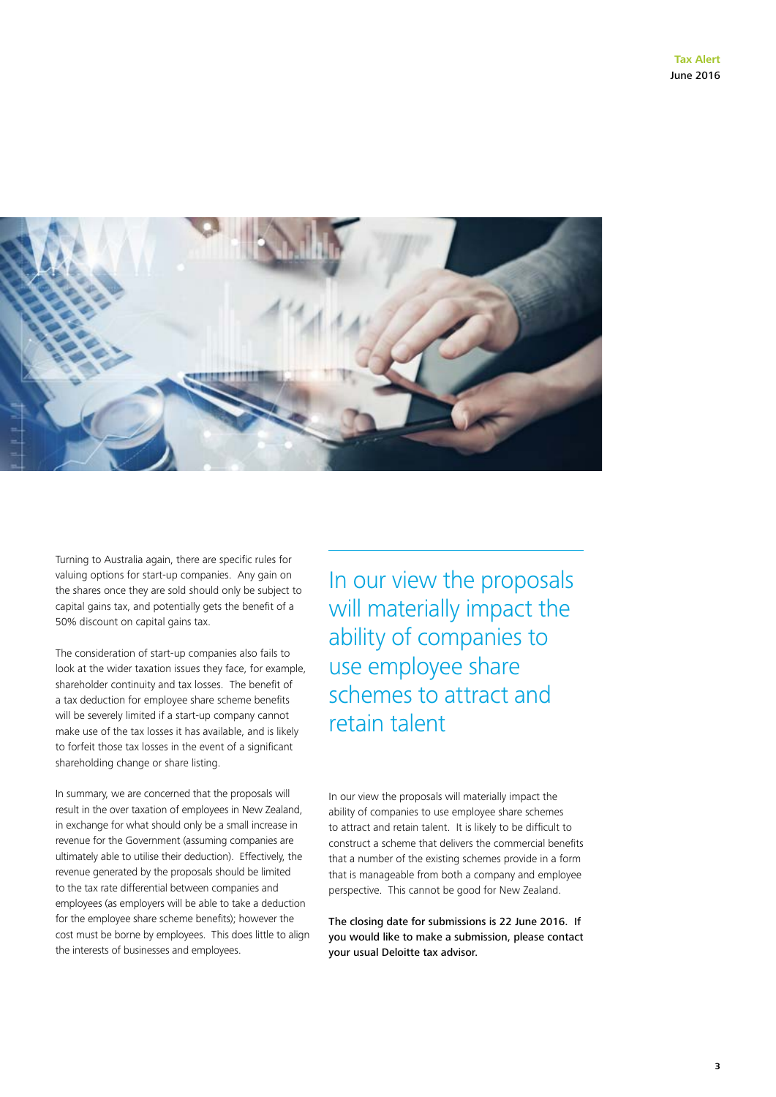

Turning to Australia again, there are specific rules for valuing options for start-up companies. Any gain on the shares once they are sold should only be subject to capital gains tax, and potentially gets the benefit of a 50% discount on capital gains tax.

The consideration of start-up companies also fails to look at the wider taxation issues they face, for example, shareholder continuity and tax losses. The benefit of a tax deduction for employee share scheme benefits will be severely limited if a start-up company cannot make use of the tax losses it has available, and is likely to forfeit those tax losses in the event of a significant shareholding change or share listing.

In summary, we are concerned that the proposals will result in the over taxation of employees in New Zealand, in exchange for what should only be a small increase in revenue for the Government (assuming companies are ultimately able to utilise their deduction). Effectively, the revenue generated by the proposals should be limited to the tax rate differential between companies and employees (as employers will be able to take a deduction for the employee share scheme benefits); however the cost must be borne by employees. This does little to align the interests of businesses and employees.

In our view the proposals will materially impact the ability of companies to use employee share schemes to attract and retain talent

In our view the proposals will materially impact the ability of companies to use employee share schemes to attract and retain talent. It is likely to be difficult to construct a scheme that delivers the commercial benefits that a number of the existing schemes provide in a form that is manageable from both a company and employee perspective. This cannot be good for New Zealand.

The closing date for submissions is 22 June 2016. If you would like to make a submission, please contact your usual Deloitte tax advisor.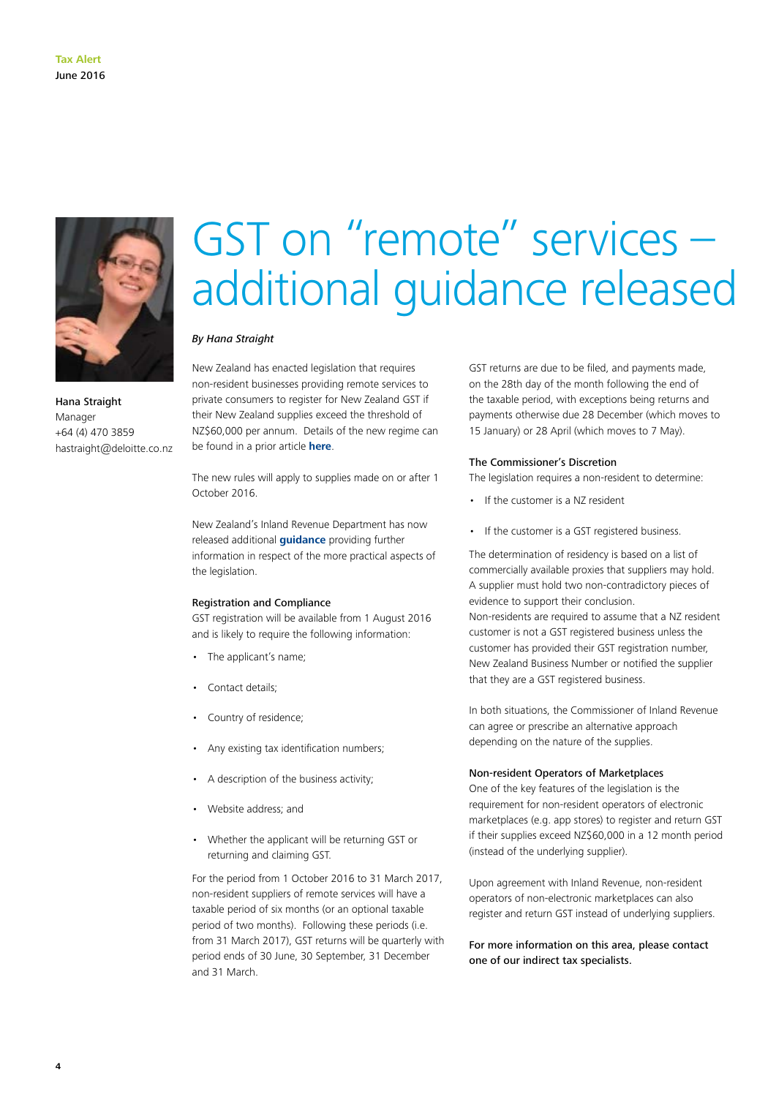

Hana Straight Manager +64 (4) 470 3859 hastraight@deloitte.co.nz

# GST on "remote" services – additional guidance released

### *By Hana Straight*

New Zealand has enacted legislation that requires non-resident businesses providing remote services to private consumers to register for New Zealand GST if their New Zealand supplies exceed the threshold of NZ\$60,000 per annum. Details of the new regime can be found in a prior article **[here](http://taxathand.com/article/New-Zealand/2016/04/GST-on-remote-services)**.

The new rules will apply to supplies made on or after 1 October 2016.

New Zealand's Inland Revenue Department has now released additional **[guidance](http://taxpolicy.ird.govt.nz/sites/default/files/2016-sr-gst-cross-border-supplies.pdf)** providing further information in respect of the more practical aspects of the legislation.

#### Registration and Compliance

GST registration will be available from 1 August 2016 and is likely to require the following information:

- The applicant's name;
- Contact details;
- Country of residence;
- Any existing tax identification numbers;
- A description of the business activity;
- Website address; and
- Whether the applicant will be returning GST or returning and claiming GST.

For the period from 1 October 2016 to 31 March 2017, non-resident suppliers of remote services will have a taxable period of six months (or an optional taxable period of two months). Following these periods (i.e. from 31 March 2017), GST returns will be quarterly with period ends of 30 June, 30 September, 31 December and 31 March.

GST returns are due to be filed, and payments made, on the 28th day of the month following the end of the taxable period, with exceptions being returns and payments otherwise due 28 December (which moves to 15 January) or 28 April (which moves to 7 May).

#### The Commissioner's Discretion

The legislation requires a non-resident to determine:

- If the customer is a NZ resident
- If the customer is a GST registered business.

The determination of residency is based on a list of commercially available proxies that suppliers may hold. A supplier must hold two non-contradictory pieces of evidence to support their conclusion. Non-residents are required to assume that a NZ resident customer is not a GST registered business unless the customer has provided their GST registration number, New Zealand Business Number or notified the supplier that they are a GST registered business.

In both situations, the Commissioner of Inland Revenue can agree or prescribe an alternative approach depending on the nature of the supplies.

### Non-resident Operators of Marketplaces

One of the key features of the legislation is the requirement for non-resident operators of electronic marketplaces (e.g. app stores) to register and return GST if their supplies exceed NZ\$60,000 in a 12 month period (instead of the underlying supplier).

Upon agreement with Inland Revenue, non-resident operators of non-electronic marketplaces can also register and return GST instead of underlying suppliers.

For more information on this area, please contact one of our indirect tax specialists.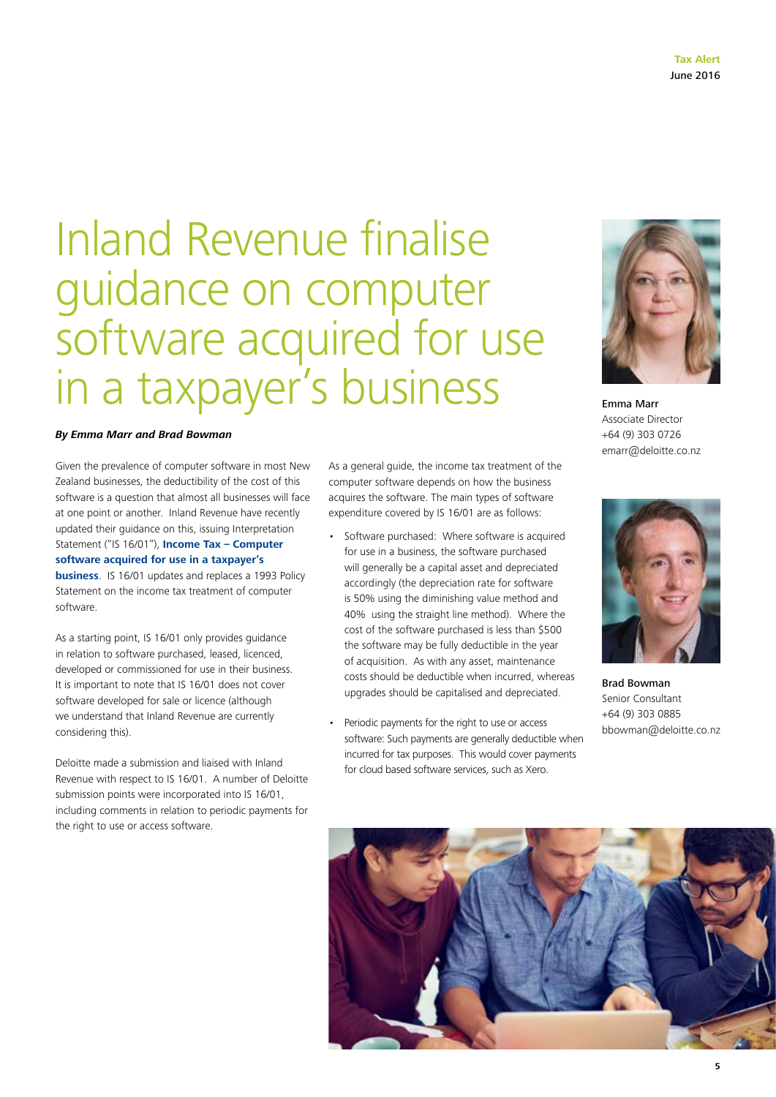### Inland Revenue finalise guidance on computer software acquired for use in a taxpayer's business

### *By Emma Marr and Brad Bowman*

Given the prevalence of computer software in most New Zealand businesses, the deductibility of the cost of this software is a question that almost all businesses will face at one point or another. Inland Revenue have recently updated their guidance on this, issuing Interpretation Statement ("IS 16/01"), **[Income Tax – Computer](http://www.ird.govt.nz/resources/9/7/9721cc5f-22e9-4e3b-9783-4ba4dfb1390e/is1601.pdf)  [software acquired for use in a taxpayer's](http://www.ird.govt.nz/resources/9/7/9721cc5f-22e9-4e3b-9783-4ba4dfb1390e/is1601.pdf)  [business](http://www.ird.govt.nz/resources/9/7/9721cc5f-22e9-4e3b-9783-4ba4dfb1390e/is1601.pdf)**. IS 16/01 updates and replaces a 1993 Policy

Statement on the income tax treatment of computer software.

As a starting point, IS 16/01 only provides guidance in relation to software purchased, leased, licenced, developed or commissioned for use in their business. It is important to note that IS 16/01 does not cover software developed for sale or licence (although we understand that Inland Revenue are currently considering this).

Deloitte made a submission and liaised with Inland Revenue with respect to IS 16/01. A number of Deloitte submission points were incorporated into IS 16/01, including comments in relation to periodic payments for the right to use or access software.

As a general guide, the income tax treatment of the computer software depends on how the business acquires the software. The main types of software expenditure covered by IS 16/01 are as follows:

- Software purchased: Where software is acquired for use in a business, the software purchased will generally be a capital asset and depreciated accordingly (the depreciation rate for software is 50% using the diminishing value method and 40% using the straight line method). Where the cost of the software purchased is less than \$500 the software may be fully deductible in the year of acquisition. As with any asset, maintenance costs should be deductible when incurred, whereas upgrades should be capitalised and depreciated.
- Periodic payments for the right to use or access software: Such payments are generally deductible when incurred for tax purposes. This would cover payments for cloud based software services, such as Xero.



Emma Marr Associate Director +64 (9) 303 0726 emarr@deloitte.co.nz



Brad Bowman Senior Consultant +64 (9) 303 0885 bbowman@deloitte.co.nz

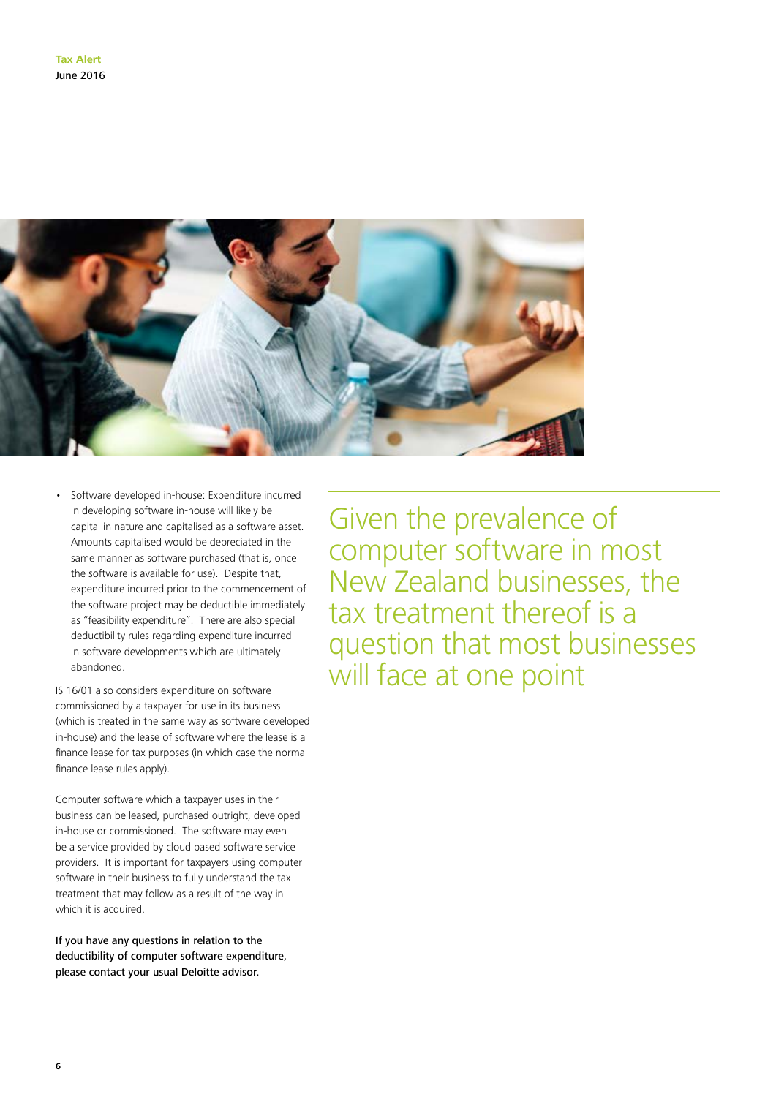

• Software developed in-house: Expenditure incurred in developing software in-house will likely be capital in nature and capitalised as a software asset. Amounts capitalised would be depreciated in the same manner as software purchased (that is, once the software is available for use). Despite that, expenditure incurred prior to the commencement of the software project may be deductible immediately as "feasibility expenditure". There are also special deductibility rules regarding expenditure incurred in software developments which are ultimately abandoned.

IS 16/01 also considers expenditure on software commissioned by a taxpayer for use in its business (which is treated in the same way as software developed in-house) and the lease of software where the lease is a finance lease for tax purposes (in which case the normal finance lease rules apply).

Computer software which a taxpayer uses in their business can be leased, purchased outright, developed in-house or commissioned. The software may even be a service provided by cloud based software service providers. It is important for taxpayers using computer software in their business to fully understand the tax treatment that may follow as a result of the way in which it is acquired.

If you have any questions in relation to the deductibility of computer software expenditure, please contact your usual Deloitte advisor.

Given the prevalence of computer software in most New Zealand businesses, the tax treatment thereof is a question that most businesses will face at one point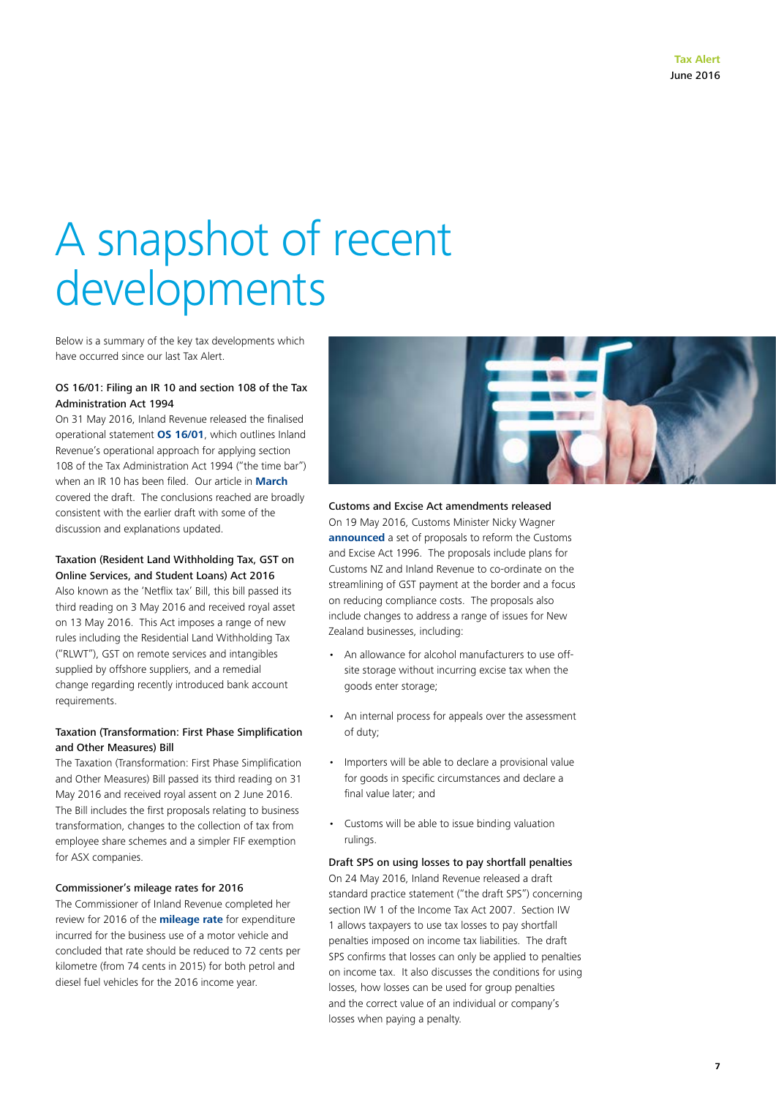# A snapshot of recent developments

Below is a summary of the key tax developments which have occurred since our last Tax Alert.

### OS 16/01: Filing an IR 10 and section 108 of the Tax Administration Act 1994

On 31 May 2016, Inland Revenue released the finalised operational statement **[OS 16/01](http://www.ird.govt.nz/technical-tax/op-statements/os-1601-filing-ir10-section-108-tax-administration-act.html)**, which outlines Inland Revenue's operational approach for applying section 108 of the Tax Administration Act 1994 ("the time bar") when an IR 10 has been filed. Our article in **[March](http://www2.deloitte.com/nz/en/pages/tax-alerts/articles/what-information-should-you-file-with-your-tax-return.html)** covered the draft. The conclusions reached are broadly consistent with the earlier draft with some of the discussion and explanations updated.

### Taxation (Resident Land Withholding Tax, GST on Online Services, and Student Loans) Act 2016

Also known as the 'Netflix tax' Bill, this bill passed its third reading on 3 May 2016 and received royal asset on 13 May 2016. This Act imposes a range of new rules including the Residential Land Withholding Tax ("RLWT"), GST on remote services and intangibles supplied by offshore suppliers, and a remedial change regarding recently introduced bank account requirements.

### Taxation (Transformation: First Phase Simplification and Other Measures) Bill

The Taxation (Transformation: First Phase Simplification and Other Measures) Bill passed its third reading on 31 May 2016 and received royal assent on 2 June 2016. The Bill includes the first proposals relating to business transformation, changes to the collection of tax from employee share schemes and a simpler FIF exemption for ASX companies.

### Commissioner's mileage rates for 2016

The Commissioner of Inland Revenue completed her review for 2016 of the **[mileage rate](http://www.ird.govt.nz/technical-tax/op-statements/os-review-milage-rate-2016.html)** for expenditure incurred for the business use of a motor vehicle and concluded that rate should be reduced to 72 cents per kilometre (from 74 cents in 2015) for both petrol and diesel fuel vehicles for the 2016 income year.



Customs and Excise Act amendments released On 19 May 2016, Customs Minister Nicky Wagner **[announced](https://www.beehive.govt.nz/release/customs-and-excise-act-amendments-released)** a set of proposals to reform the Customs and Excise Act 1996. The proposals include plans for Customs NZ and Inland Revenue to co-ordinate on the streamlining of GST payment at the border and a focus on reducing compliance costs. The proposals also include changes to address a range of issues for New Zealand businesses, including:

- An allowance for alcohol manufacturers to use offsite storage without incurring excise tax when the goods enter storage;
- An internal process for appeals over the assessment of duty;
- Importers will be able to declare a provisional value for goods in specific circumstances and declare a final value later; and
- Customs will be able to issue binding valuation rulings.

Draft SPS on using losses to pay shortfall penalties On 24 May 2016, Inland Revenue released a draft standard practice statement ("the draft SPS") concerning section IW 1 of the Income Tax Act 2007. Section IW 1 allows taxpayers to use tax losses to pay shortfall penalties imposed on income tax liabilities. The draft SPS confirms that losses can only be applied to penalties on income tax. It also discusses the conditions for using losses, how losses can be used for group penalties and the correct value of an individual or company's losses when paying a penalty.